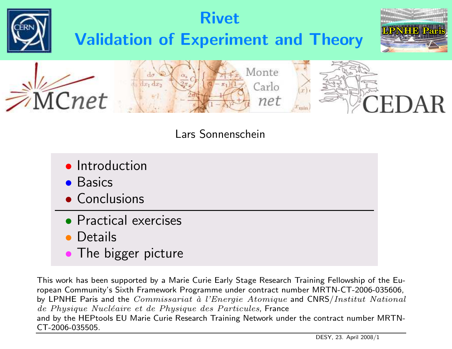

#### Lars Sonnenschein

- **•** Introduction
- Basics
- Conclusions
- Practical exercises
- $\bullet$ **Details**
- **The bigger picture**

This work has been supported by <sup>a</sup> Marie Curie Early Stage Research Training Fellowship of the European Community's Sixth Framework Programme under contract number MRTN-CT-2006-035606, by LPNHE Paris and the  $Commissionat$  à l'Energie Atomique and CNRS/Institut National de Physique Nucléaire et de Physique des Particules, France and by the HEPtools EU Marie Curie Research Training Network under the contract number MRTN-CT-2006-035505.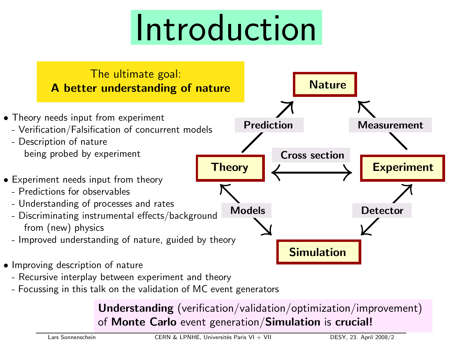# Introduction



- Recursive interplay between experiment and theory
- Focussing in this talk on the validation of MC event generators

Understanding (verification/validation/optimization/improvement) of Monte Carlo event generation/Simulation is crucial!

Lars Sonnenschein CERN & LPNHE, Universités Paris VI + VII DESY, 23. April 2008/2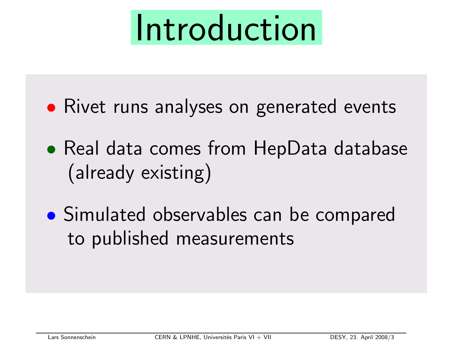# Introduction

- $\bullet$ **• Rivet runs analyses on generated events**
- $\bullet$  Real data comes from HepData database (already existing)
- $\bullet$  Simulated observables can be compared to published measurements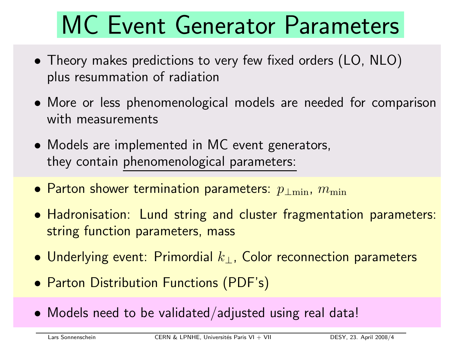### MC Event Generator Parameters

- Theory makes predictions to very few fixed orders (LO, NLO) plus resummation of radiation
- More or less phenomenological models are needed for comparison with measurements
- Models are implemented in MC event generators, they contain phenomenological parameters:
- Parton shower termination parameters:  $p_{\perp\text{min}},\ m_{\text{min}}$
- Hadronisation: Lund string and cluster fragmentation parameters: string function parameters, mass
- $\bullet$  Underlying event: Primordial  $k_{\perp}$ , Color reconnection parameters
- Parton Distribution Functions (PDF's)
- Models need to be validated/adjusted using real data!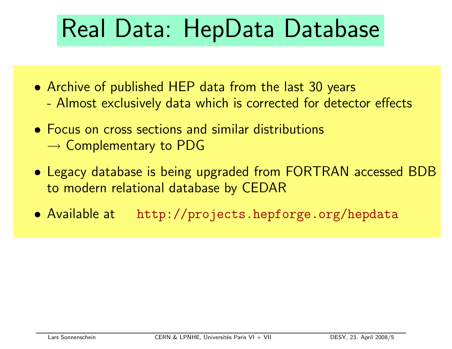## Real Data: HepData Database

- Archive of published HEP data from the last 30 years -Almost exclusively data which is corrected for detector effects
- Focus on cross sections and similar distributions  $\rightarrow$  Complementary to PDG
- Legacy database is being upgraded from FORTRAN accessed BDB to modern relational database by CEDAR
- Available at http://projects.hepforge.org/hepdata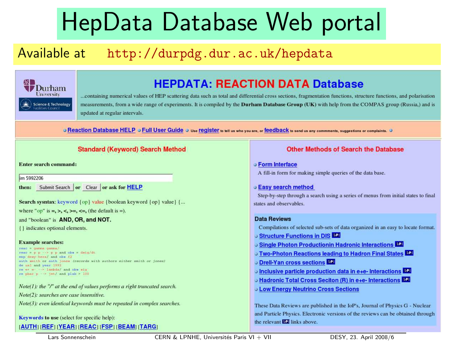### HepData Database Web portal

### Available at http://durpdg.dur.ac.uk/hepdata



#### **HEPDATA: REACTION DATA Database**

...containing numerical values of HEP scattering data such as total and differential cross sections, fragmentation functions, structure functions, and polarisation measurements, from a wide range of experiments. It is compiled by the Durham Database Group (UK) with help from the COMPAS group (Russia,) and is updated at regular intervals.

O Reaction Database HELP O Full User Guide O Use register to tell us who you are, or feedback to send us any commments, suggestions or complaints. O

#### **Standard (Keyword) Search Method**

Enter search command:

im 5992206

Submit Search or Clear or ask for HELP then:

Search sysntax: keyword {op} value {boolean keyword {op} value} {...

where "op" is  $=$ ,  $>$ ,  $\lt$ ,  $> =$ ,  $\lt =$ , (the default is  $=$ ).

#### and "boolean" is AND, OR, and NOT.

{} indicates optional elements.

#### **Example searches:**

 $\text{read} = \text{gamma}$ read =  $p$   $p \rightarrow \rightarrow p$   $p$  and obs = dsig/dt exp desy-hera/ and obs f2 auth smith or auth jones (records with authors either smith or jones) de usl and year 1992 re e+ e- -> lambda/ and obs sig re phar p -> jet/ and plab > 100

 $Note(I):$  the "/" at the end of values performs a right truncated search. Note(2): searches are case insensitive.

Note(3): even identical keywords must be repeated in complex searches.

Keywords to use (select for specific help):

#### [AUTH] [REF] [YEAR] [REAC] [FSP] [BEAM] [TARG]

Lars Sonnenschein CERN & LPNHE, Universités Paris VI + VII DESY, 23. April 2008/6

#### **Other Methods of Search the Database**

#### **o Form Interface**

A fill-in form for making simple queries of the data base.

#### **Easy search method**

Step-by-step through a search using a series of menus from initial states to final states and observables.

#### **Data Reviews**

Compilations of selected sub-sets of data organized in an easy to locate format.

- Structure Functions in DIS LPL
- Single Photon Productionin Hadronic Interactions
- Two-Photon Reactions leading to Hadron Final States
- O Drell-Yan cross sections
- Inclusive particle production data in e+e- Interactions
- Hadronic Total Cross Seciton (R) in e+e- Interactions
- **J Low Energy Neutrino Cross Sections**

These Data Reviews are published in the IoP's, Journal of Physics G - Nuclear and Particle Physics. Electronic versions of the reviews can be obtained through the relevant **152** links above.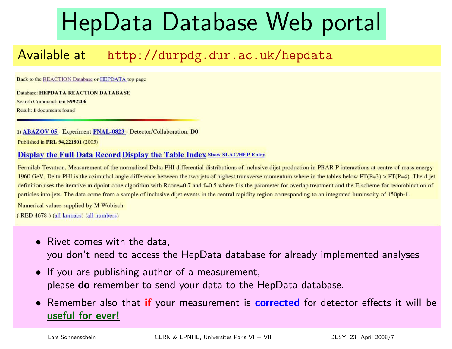### HepData Database Web portal

### Available at http://durpdg.dur.ac.uk/hepdata

Back to the REACTION Database or HEPDATA top page

Database: HEPDATA REACTION DATABASE Search Command: irn 5992206 Result: 1 documents found

1) ABAZOV 05 - Experiment FNAL-0823 - Detector/Collaboration: D0 Published in PRL 94,221801 (2005)

#### **Display the Full Data Record Display the Table Index Show SLAC/HEP Entry**

Fermilab-Tevatron. Measurement of the normalized Delta PHI differential distributions of inclusive dijet production in PBAR P interactions at centre-of-mass energy 1960 GeV. Delta PHI is the azimuthal angle difference between the two jets of highest transverse momentum where in the tables below  $PT(P=3) > PT(P=4)$ . The dijet definition uses the iterative midpoint cone algorithm with Rcone=0.7 and  $f=0.5$  where f is the parameter for overlap treatment and the E-scheme for recombination of particles into jets. The data come from a sample of inclusive dijet events in the central rapidity region corresponding to an integrated luminsoity of 150pb-1.

Numerical values supplied by M Wobisch.

(RED 4678) (all kumacs) (all numbers)

- Rivet comes with the data, you don't need to access the HepData database for already implemented analyses
- If you are publishing author of <sup>a</sup> measurement, please do remember to send your data to the HepData database.
- •Remember also that if your measurement is corrected for detector effects it will be useful for ever!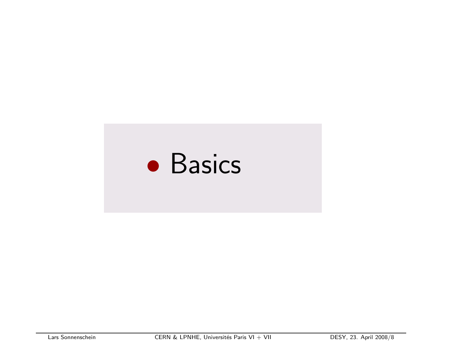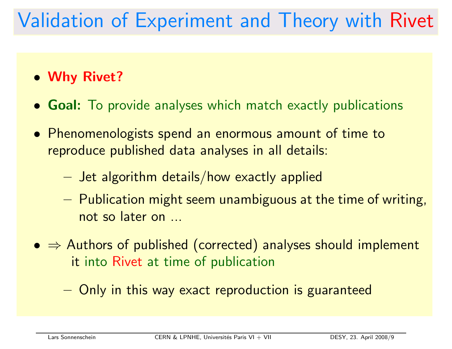### Validation of Experiment and Theory with Rivet

- Why Rivet?
- **Goal:** To provide analyses which match exactly publications
- Phenomenologists spend an enormous amount of time to reproduce published data analyses in all details:
	- $-$  Jet algorithm details/how exactly applied
	- $-$  Publication might seem unambiguous at the time of writing,  $\,$ not so later on ...
- $\bullet \Rightarrow$  Authors of published (corrected) analyses should implement it into Rivet at time of publication
	- $-$  Only in this way exact reproduction is guaranteed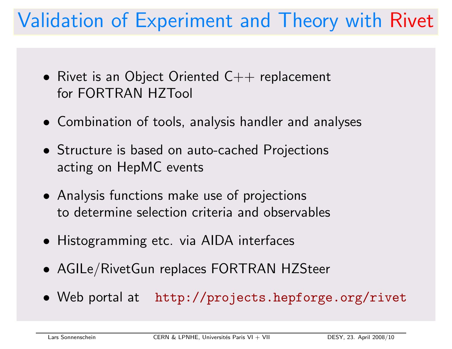### Validation of Experiment and Theory with Rivet

- $\bullet\,$  Rivet is an Object Oriented C $++$  replacement for FORTRAN HZTool
- Combination of tools, analysis handler and analyses
- Structure is based on auto-cached Projections acting on HepMC events
- Analysis functions make use of projections to determine selection criteria and observables
- Histogramming etc. via AIDA interfaces
- AGILe/RivetGun replaces FORTRAN HZSteer
- Web portal at http://projects.hepforge.org/rivet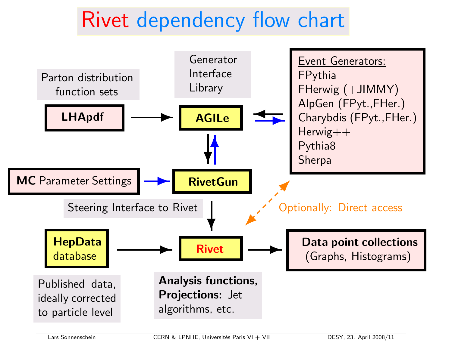### Rivet dependency flow chart

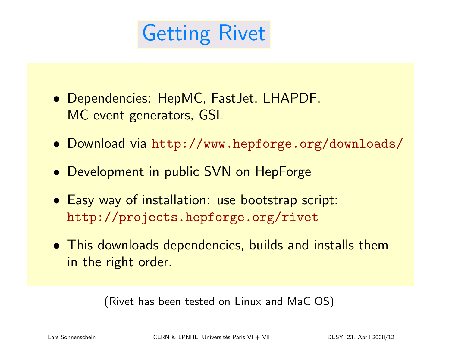### Getting Rivet

- Dependencies: HepMC, FastJet, LHAPDF, MC event generators, GSL
- Download via http://www.hepforge.org/downloads/
- Development in public SVN on HepForge
- Easy way of installation: use bootstrap script: http://projects.hepforge.org/rivet
- This downloads dependencies, builds and installs them in the right order.

(Rivet has been tested on Linux and MaC OS)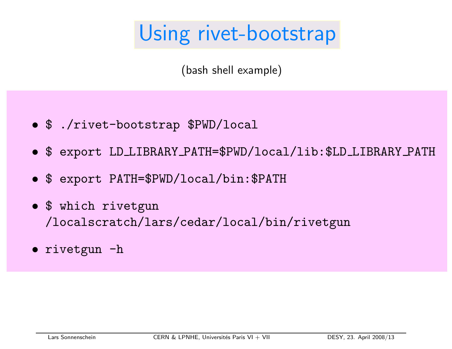### Using rivet-bootstrap

(bash shell example)

- \$ ./rivet-bootstrap \$PWD/local
- \$ expor<sup>t</sup> LD LIBRARY PATH=\$PWD/local/lib:\$LD LIBRARY PATH
- \$ expor<sup>t</sup> PATH=\$PWD/local/bin:\$PATH
- \$ which rivetgun /localscratch/lars/cedar/local/bin/rivetgun
- rivetgun -h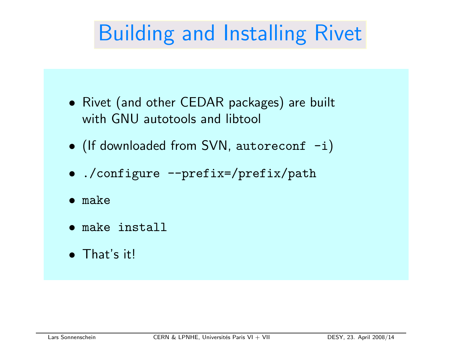### Building and Installing Rivet

- Rivet (and other CEDAR packages) are built with GNU autotools and libtool
- (If downloaded from SVN, autoreconf -i)
- ./configure --prefix=/prefix/path
- make
- make install
- That's it!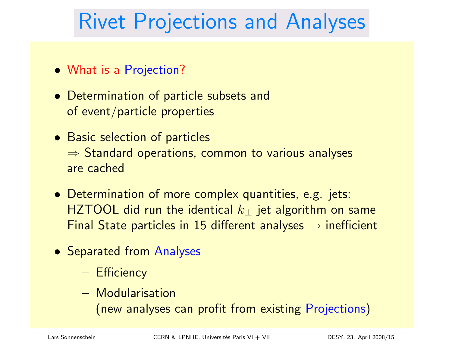### Rivet Projections and Analyses

- What is <sup>a</sup> Projection?
- Determination of particle subsets and of event/particle properties
- Basic selection of particles  $\Rightarrow$  Standard operations, common to various analyses are cached
- Determination of more complex quantities, e.g. jets: HZTOOL did run the identical  $k_{\perp}$  jet algorithm on same Final State particles in 15 different analyses  $\rightarrow$  inefficient
- Separated from Analyses
	- Efficiency
	- Modularisation

(new analyses can profit from existing Projections)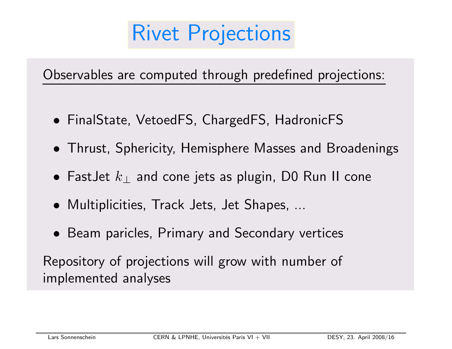### Rivet Projections

Observables are computed through predefined projections:

- FinalState, VetoedFS, ChargedFS, HadronicFS
- Thrust, Sphericity, Hemisphere Masses and Broadenings
- $\bullet\,$  FastJet  $k_{\perp}$  and cone jets as plugin, D0 Run II cone
- Multiplicities, Track Jets, Jet Shapes, ...
- Beam paricles, Primary and Secondary vertices

Repository of projections will grow with number of implemented analyses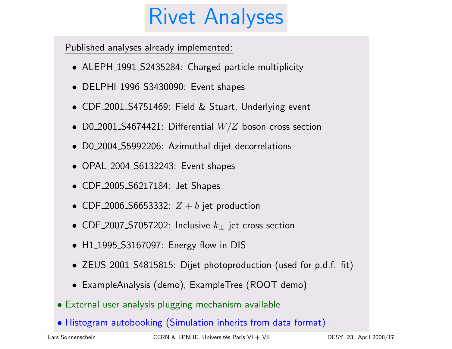### Rivet Analyses

Published analyses already implemented:

- ALEPH 1991 S2435284: Charged particle multiplicity
- DELPHI\_1996\_S3430090: Event shapes
- CDF 2001 S4751469: Field & Stuart, Underlying event
- $\bullet$  <code>D0\_2001\_S4674421</code>: Differential  $W/Z$  boson cross section
- D0 2004 S5992206: Azimuthal dijet decorrelations
- OPAL 2004 S6132243: Event shapes
- CDF 2005 S6217184: Jet Shapes
- $\bullet$  CDF\_2006\_S6653332:  $Z + b$  jet production
- CDF\_2007\_S7057202: Inclusive  $k_\perp$  jet cross section
- H1\_1995\_S3167097: Energy flow in DIS
- ZEUS <sup>2001</sup> S4815815: Dijet photoproduction (used for p.d.f. fit)
- ExampleAnalysis (demo), ExampleTree (ROOT demo)
- External user analysis plugging mechanism available
- Histogram autobooking (Simulation inherits from data format)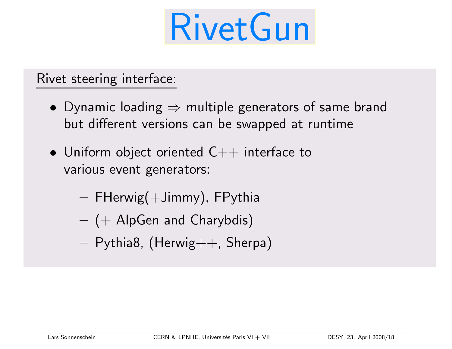

#### Rivet steering interface:

- $\bullet\,$  Dynamic loading  $\Rightarrow$  multiple generators of same brand but different versions can be swapped at runtime
- $\bullet\,$  Uniform object oriented  $\mathsf{C++}$  interface to various event generators:
	- $-$  FHerwig $( +$ Jimmy), FPythia
	- $( +$  AlpGen and Charybdis)
	- $-$  Pythia8, (Herwig $++$ , Sherpa)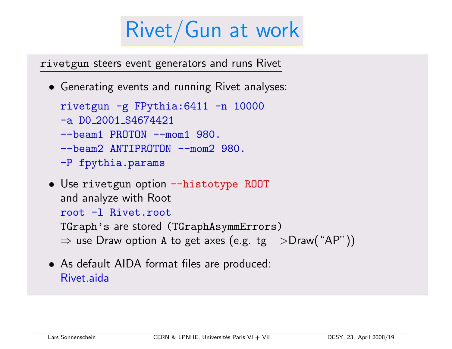### Rivet/Gun at work

rivetgun steers event generators and runs Rivet

• Generating events and running Rivet analyses:

```
rivetgun -g FPythia:6411 -n 10000
-a D0 2001 S4674421
--beam1 PROTON --mom1 980.
--beam2 ANTIPROTON --mom2 980.
-P fpythia.params
```
- Use rivetgun option --histotype ROOT and analyze with Root root -l Rivet.root TGraph's are stored (TGraphAsymmErrors)
	- <sup>⇒</sup> use Draw option <sup>A</sup> to get axes (e.g. tg<sup>−</sup> <sup>&</sup>gt;Draw("AP"))
- As default AIDA format files are produced: Rivet aida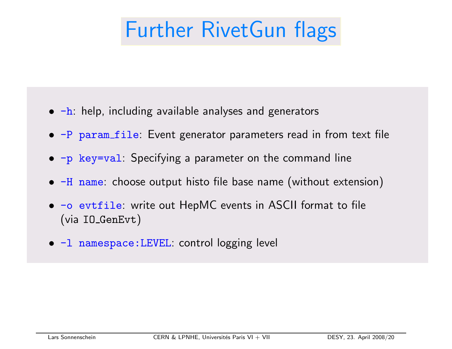### Further RivetGun flags

- $\bullet$   $\mathsf{-h}$ : help, including available analyses and generators
- $\bullet$  -P  $\mathtt{param\_file}$ : Event generator parameters read in from text file
- $\bullet$   $\mathop{-\mathbf{p}}$  key=val: Specifying a parameter on the command line
- $\bullet$  -H name: choose output histo file base name (without extension)
- $\bullet$   $\mathord{\hspace{1pt}\text{--}}\mathord{\hspace{1pt}\text{--}}\mathord{\hspace{1pt}\text{--}}$  events in ASCII format to file (via IO GenEvt)
- -l namespace:LEVEL: control logging level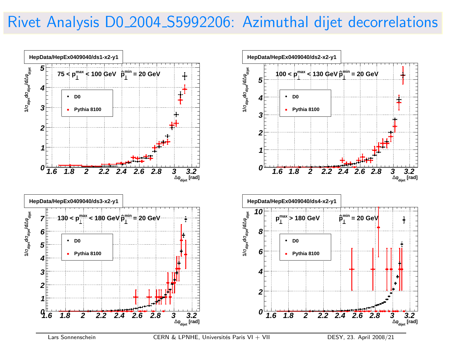### Rivet Analysis D0 2004 S5992206: Azimuthal dijet decorrelations

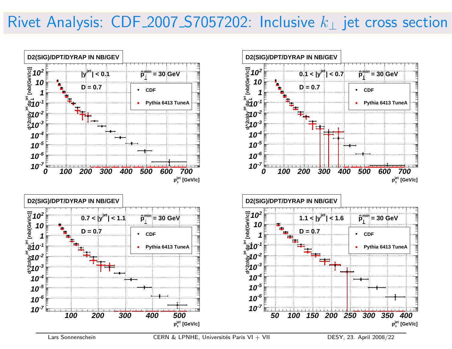### Rivet Analysis:  $CDF_2007_S7057202$ : Inclusive  $k_{\perp}$  jet cross section

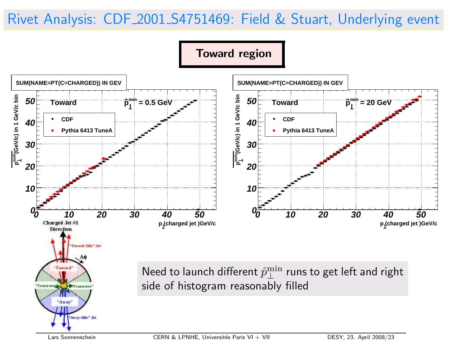### Rivet Analysis: CDF 2001 S4751469: Field & Stuart, Underlying event



Toward region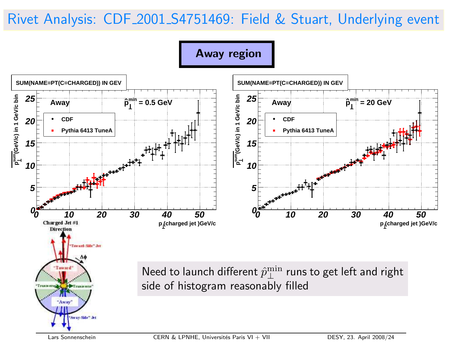### Rivet Analysis: CDF 2001 S4751469: Field & Stuart, Underlying event

Away region

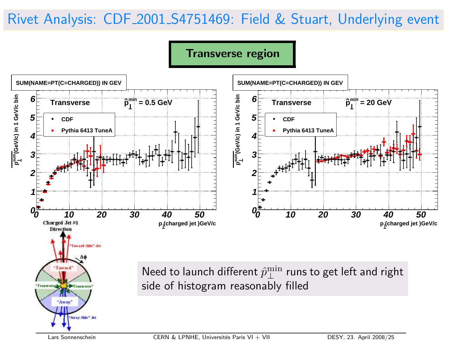### Rivet Analysis: CDF 2001 S4751469: Field & Stuart, Underlying event

Transverse region

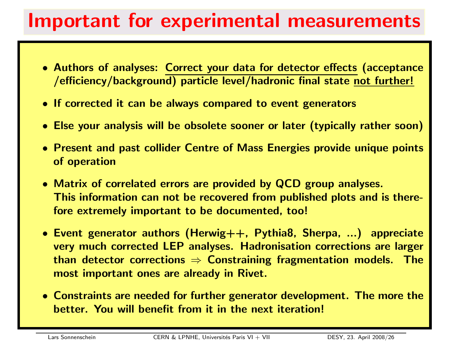### Important for experimental measurements

- Authors of analyses: Correct your data for detector effects (acceptance /efficiency/background) particle level/hadronic final state not further!
- If corrected it can be always compared to event generators
- Else your analysis will be obsolete sooner or later (typically rather soon)
- Present and past collider Centre of Mass Energies provide unique points of operation
- Matrix of correlated errors are provided by QCD group analyses. This information can not be recovered from published plots and is therefore extremely important to be documented, too!
- Event generator authors (Herwig++, Pythia8, Sherpa, ...) appreciate very much corrected LEP analyses. Hadronisation corrections are larger than detector corrections  $\Rightarrow$  Constraining fragmentation models. The most important ones are already in Rivet.
- Constraints are needed for further generator development. The more the better. You will benefit from it in the next iteration!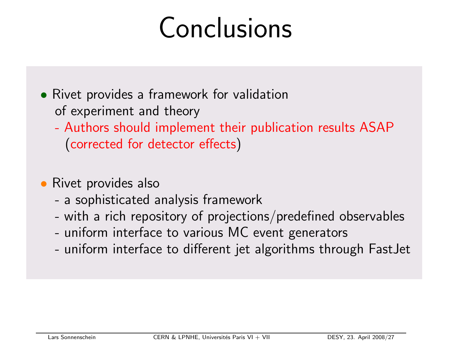## Conclusions

• Rivet provides <sup>a</sup> framework for validation of experiment and theory

- Authors should implement their publication results ASAP (corrected for detector effects)
- Rivet provides also
	- <sup>a</sup> sophisticated analysis framework
	- with a rich repository of projections/predefined observables
	- uniform interface to various MC event generators
	- uniform interface to different jet algorithms through FastJet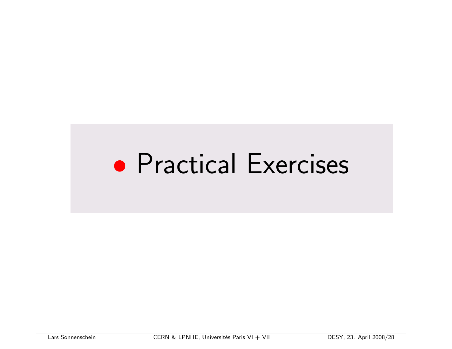### • Practical Exercises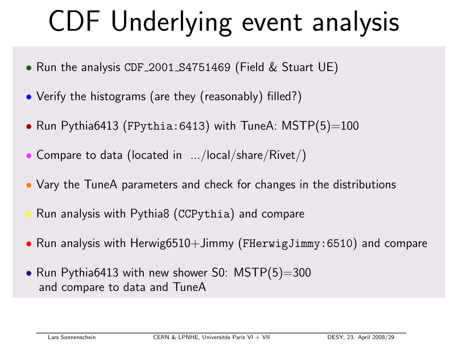## CDF Underlying event analysis

- Run the analysis CDF <sup>2001</sup> S4751469 (Field & Stuart UE)
- Verify the histograms (are they (reasonably) filled?)
- $\bullet$  Run Pythia6413 (FPythia:6413) with TuneA: MSTP(5)=100
- $\bullet$  Compare to data (located in  $\;\ldots\!$ local/share/Rivet/)
- Vary the TuneA parameters and check for changes in the distributions
- Run analysis with Pythia8 (CCPythia) and compare
- Run analysis with Herwig6510+Jimmy (FHerwigJimmy:6510) and compare
- Run Pythia6413 with new shower S0: MSTP(5)=300 and compare to data and TuneA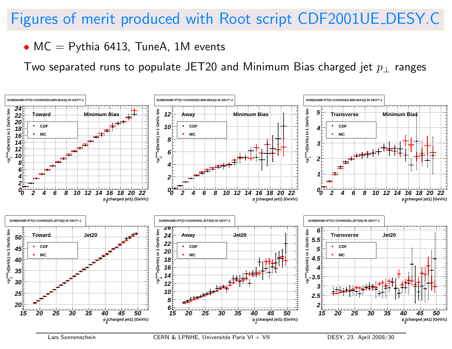### Figures of merit produced with Root script CDF2001UE DESY.C

#### $\bullet$  MC  $=$  Pythia 6413, TuneA, 1M events

Two separated runs to populate JET20 and Minimum Bias charged jet  $p_{\perp}$  ranges

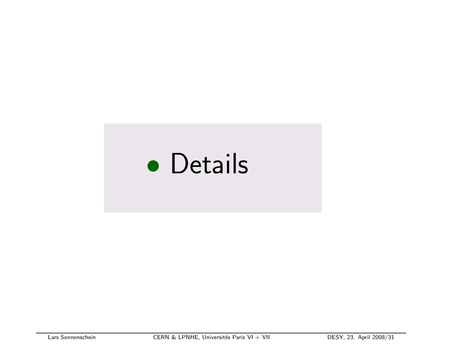## • Details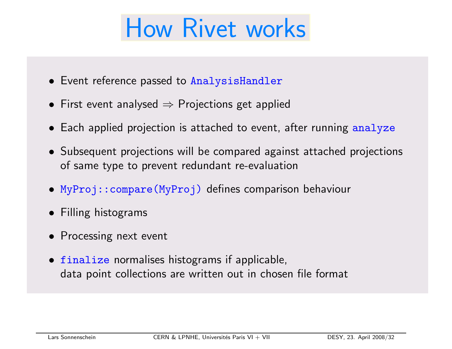## How Rivet works

- Event reference passed to AnalysisHandler
- $\bullet\,$  First event analysed  $\Rightarrow$  Projections get applied
- Each applied projection is attached to event, after running analyze
- Subsequent projections will be compared against attached projections of same type to prevent redundant re-evaluation
- MyProj::compare(MyProj) defines comparison behaviour
- Filling histograms
- Processing next event
- finalize normalises histograms if applicable, data point collections are written out in chosen file format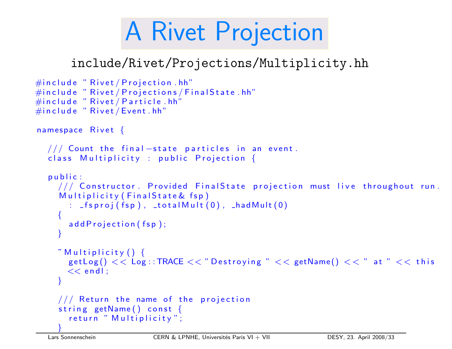## A Rivet Projection

### include/Rivet/Projections/Multiplicity.hh

```
\#include " Rivet / Projection . hh"
\#include " Rivet / Projections / Final State.hh"
\#include " Rivet / Particle.hh"
\#include " Rivet / Event.hh"
namespace Rivet \{// Count the final -state particles in an event.
  class Multiplicity : public Projection {
  public:
    \frac{1}{2} Constructor. Provided FinalState projection must live throughout run.
     Multiplicity (Final State & fsp)
       : _f sproj(fsp), _ttotalMult(0), _hadMult(0){
       addProjection(fsp);}
     \tilde{\phantom{a}} Multiplicity ( ) \{getLog() << Log ::TRACE << "Destroying " << getName() << " at " << this"<< endl ;
     }
    // Return the name of the projection
    string getName() const {
       return " Multiplicity";
     }
```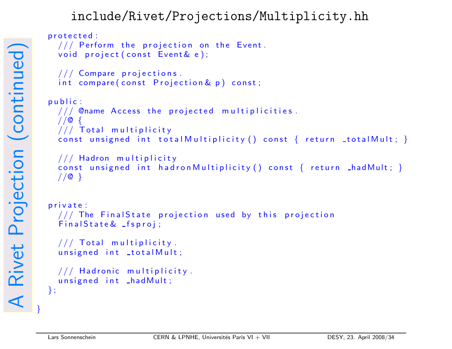#### include/Rivet/Projections/Multiplicity.hh

```
protected :
  // Perform the projection on the Event.
  void project (const Event & e);
  // Compare projections.
  int compare ( const Projection & p ) const;
public:
  1/7/2 Chame Access the projected multiplicities.
  //@ {
  // Total multiplicity
  const unsigned int total Multiplicity () const \{ return _total Mult; \}// Hadron multiplicity
  const unsigned int hadron Multiplicity () const \{ return \_hadMult; \}//@}
private:
  1/7 The Final State projection used by this projection
  Finally t at e \& Is proj ;
  // Total multiplicity.
  unsigned int _totalMult;
  // Hadronic multiplicity.
  unsigned int _hadMult;
};
```
}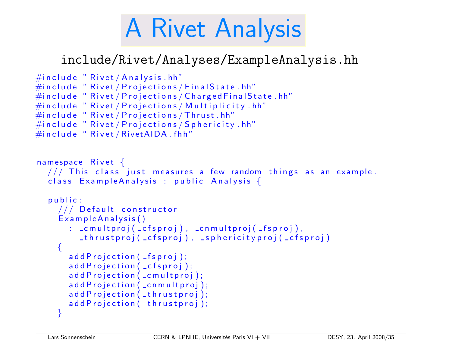## A Rivet Analysis

#### include/Rivet/Analyses/ExampleAnalysis.hh

```
\#include " Rivet / Analysis.hh"
\#include " Rivet / Projections / Final State . hh"
\#include " Rivet / Projections / Charged Final State.hh"
\#include " Rivet / Projections / Multiplicity . hh"
\#include " Rivet / Projections / Thrust.hh"
\#include " Rivet / Projections / Sphericity . hh"
#include "Rivet/RivetAIDA.fhh"
namespace Rivet \{// This class just measures a few random things as an example.
  class Example Analysis : public Analysis {
  public:
    // Default constructor
     Example Analysis ()
       : _cmultproj(_cfsproj), _cnmultproj(_fsproj),
         \textsf{I} thrustproj (\textsf{I}cfsproj), \textsf{I} sphericityproj (\textsf{I}cfsproj)
     \{addProjection ( _fsproj);
       addProjection (_cfsproj);
       add Projection (_cmultproj);
       add Projection (_cnmultproj);
       addProjection (_thrustproj);
       addProjection (_thrustproj);
     }
```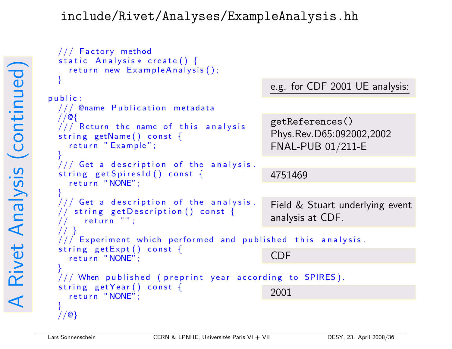#### include/Rivet/Analyses/ExampleAnalysis.hh

```
e.g. for CDF 2001 UE analysis:
                                              4751469
                                              Field & Stuart underlying event
                                              analysis at CDF.
                                              CDF
                                              2001
                                              getReferences()
                                              Phys.Rev.D65:092002,2002
                                              FNAL-PUB 01/211-E
 // Factory method
  static Analysis * create () {
    return new Example Analysis();
  }
p u b i c :
 // @name Publication metadata
 //@{
 // Return the name of this analysis
  string getName() const {
    return "Example";
  }
 \frac{1}{2} Get a description of the analysis.
  string get Spires Id () const {
    return "NONE";
  }
 // Get a description of the analysis.
 // string get Description () const {
       return " " ;
  // }
 \frac{1}{10} Experiment which performed and published this analysis.
  string getExpt() const {
    return "NONE";
  }
 // When published (preprint year according to SPIRES).
  string getYear () const {
    return "NONE";
  }
 //@}
```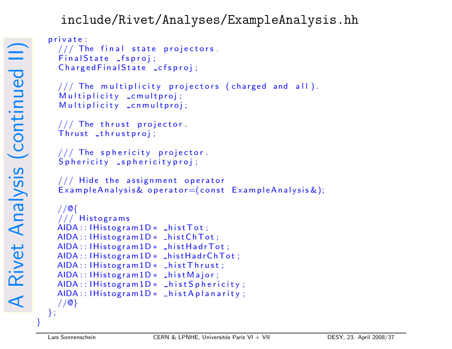#### include/Rivet/Analyses/ExampleAnalysis.hh

```
private:
  // The final state projectors.
  Final State _fsproj;
  ChargedFinalState _cfsproj;
  \frac{1}{1} The multiplicity projectors (charged and all).
  Multiplicity _cmultproj;
  Multiplicity _cnmultproj;
  // The thrust projector.
  Thrust _thrustproj;
  // The sphericity projector.
  Sphericity _sphericityproj;
  \frac{1}{1} Hide the assignment operator
  ExampleAnalys is & operator = (const ExampleAnalys is 2);//@{
  // Histograms
 AIDA :: IHistogram1D * LhistTot;AIDA :: IHistogram1D * _ histChTot;
 AIDA :: IHistogram1D * LhistHardrTot;AIDA :: IHistogram1D * _ histHadrChTot;
 AIDA :: IHistogram1D * _{hist}Thrust;AIDA :: IHistogram1D * _ hist Major;
 AIDA :: IHistogram1D * _{hist}Sphericity;AIDA :: IHistogram1D * LhistAplanarity;//@}
};
```
}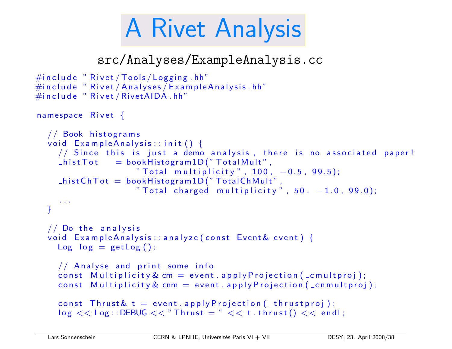## A Rivet Analysis

src/Analyses/ExampleAnalysis.cc

```
\#include " Rivet / Tools / Logging . hh"
\#include " Rivet / Analyses / Example Analysis. hh"
\#include "Rivet / Rivet AIDA.hh"
namespace Rivet \{// Book histograms
  void ExampleAnalysis::init() {
    // Since this is just a demo analysis, there is no associated paper!
    \_histTot = bookHistogram1D("TotalMult",
                     " Total multiplicity", 100, −0.5, 99.5);
    \_histChTot = bookHistoryram1D("TotalChMult"," {\sf Total\ \ charged\ \ multiplicity}" , 50 , -1.0 , 99.0 ;
     . .
  }
  // Do the analysis
  void Example Analysis: : analyze (const Event & event) {
    Log log = getLog();
    // Analyse and print some info
    const Multiplicity & cm = event. apply Projection (_cmultproj);
    const Multiplicity & cnm = event. apply Projection (\text{zennultiproid});
    const Thrust \& t = event. a pply Projection (_thrust proj);
    \log \, << \log:: DEBUG << "Thrust = " << t. thrust() << endl;
```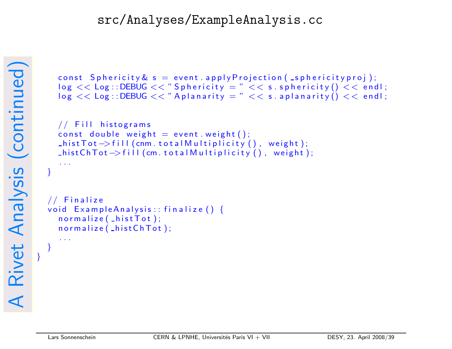#### src/Analyses/ExampleAnalysis.cc

```
const Sphericity \& s = \text{event} \cdot \text{applyProjection} (sphericity proj);
\log \, << \log::DEBUG << "Sphericity = " << s. sphericity() << endl;
\log << Log:: DEBUG << "Aplanarity = " << s. aplanarity () << endl;
```

```
// Fill histograms
const double weight = event weight ( );
\text{ListTot} \rightarrow \text{fill} (cnm. to tal M ultiplicity (), weight);
This tChTot \rightarrow fil (cm. total Multiplicity (), weight);
```

```
. .
}
```

```
// Finalize
void ExampleAnalysis::finalize()normalize( _hist Tot );
  normalize( _histChTot );
```
. . .

}

}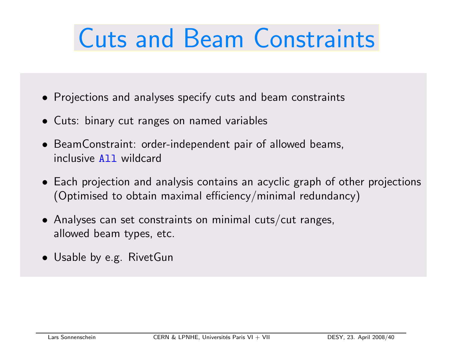## Cuts and Beam Constraints

- Projections and analyses specify cuts and beam constraints
- Cuts: binary cut ranges on named variables
- BeamConstraint: order-independent pair of allowed beams, inclusive All wildcard
- Each projection and analysis contains an acyclic graph of other projections (Optimised to obtain maximal efficiency/minimal redundancy)
- $\bullet$  Analyses can set constraints on minimal cuts/cut ranges, allowed beam types, etc.
- Usable by e.g. RivetGun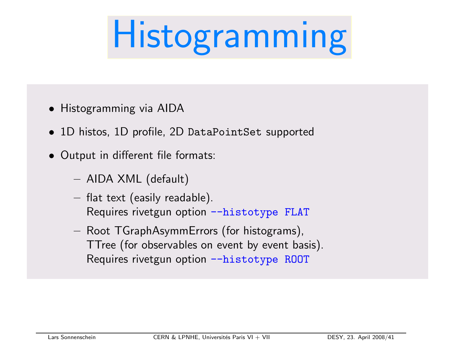# Histogramming

- Histogramming via AID A
- 1D histos, 1D profile, 2D DataPointSet supp orted
- Output in different file formats:
	- AID <sup>A</sup> XML (default)
	- $-$  flat text (easily readable). Requires rivetgun option --histotype FLAT
	- $-$  Root TGraphAsymmErrors (for histograms), TTree (fo <sup>r</sup> observables on event b <sup>y</sup> event basis). Requires rivetgun option --histotype ROOT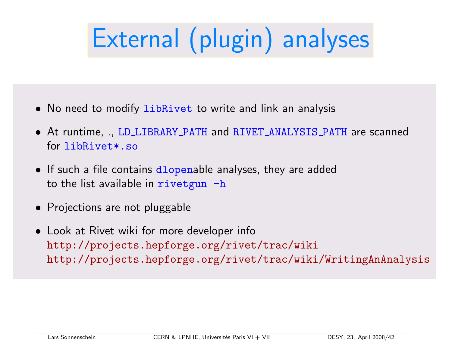## External (plugin) analyses

- No need to modify libRivet to write and link an analysis
- At runtime, ., LD LIBRARY PATH and RIVET ANALYSIS PATH are scanned for libRivet\*.so
- $\bullet\,$  If such a file contains  $\mathrm{d}1$ o $\mathrm{pend}$ able analyses, they are added to the list available in  $\mathbf{r}$  ivetgun  $-\mathbf{h}$
- Projections are not pluggable
- Look at Rivet wiki for more developer info http://projects.hepforge.org/rivet/trac/wiki http://projects.hepforge.org/rivet/trac/wiki/WritingAnAnalysis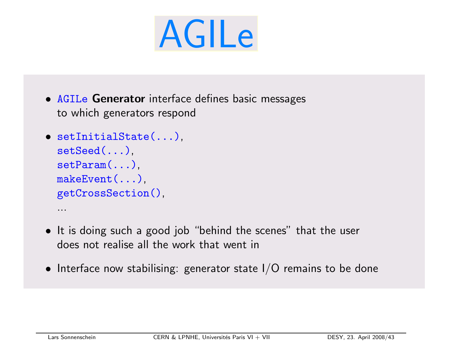# AGILe

• AGILe Generator interface defines basic messages to which generators respond

```
• setInitialState(...),
 setSeed(...),
 setParam(...),
 makeEvent(...),
 getCrossSection(),
  ...
```
- It is doing such <sup>a</sup> good job "behind the scenes" that the user does not realise all the work that went in
- $\bullet\,$  Interface now stabilising: generator state I/O remains to be done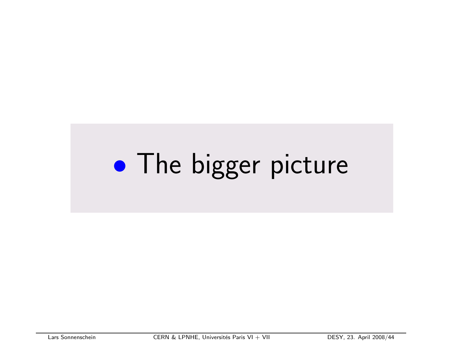#### $\bullet$ **• The bigger picture**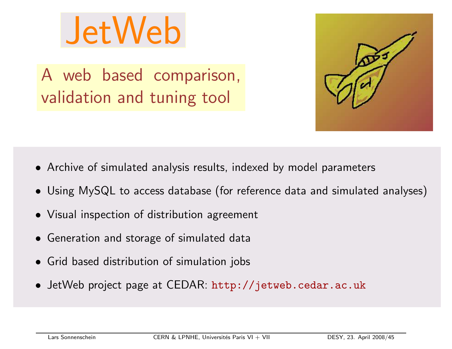

A web based comparison, validation and tuning tool



- Archive of simulated analysis results, indexed by model parameters
- Using MySQL to access database (for reference data and simulated analyses)
- Visual inspection of distribution agreement
- Generation and storage of simulated data
- Grid based distribution of simulation jobs
- JetWeb project page at CEDAR: http://jetweb.cedar.ac.uk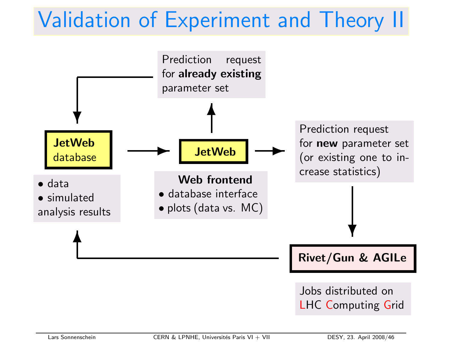### Validation of Experiment and Theory II

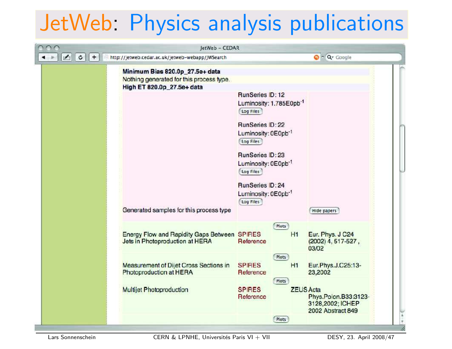### JetWeb Physics analysis publications

| $\mathfrak{c}$<br>$+$ | http://jetweb.cedar.ac.uk/jetweb-webapp/JWSearch                                |                                                                        | $Q \cap Qr$ Google                                                                |
|-----------------------|---------------------------------------------------------------------------------|------------------------------------------------------------------------|-----------------------------------------------------------------------------------|
|                       | Minimum Bias 820.0p_27.5e+ data<br>Nothing generated for this process type.     |                                                                        |                                                                                   |
|                       | High ET 820.0p_27.5e+ data                                                      | RunSeries ID: 12<br>Luminosity: 1.785E0pb <sup>-1</sup><br>Log Files   |                                                                                   |
|                       |                                                                                 | RunSeries ID: 22<br>Luminosity: 0E0pb <sup>-1</sup><br>Log Files       |                                                                                   |
|                       |                                                                                 | RunSeries ID: 23<br>Luminosity: 0E0pb <sup>-1</sup><br>Log Files       |                                                                                   |
|                       | Generated samples for this process type                                         | <b>RunSeries ID:24</b><br>Luminosity: 0E0pb <sup>-1</sup><br>Log Files |                                                                                   |
|                       |                                                                                 |                                                                        | Hide papers                                                                       |
|                       | Energy Flow and Rapidity Gaps Between SPIRES<br>Jets in Photoproduction at HERA | Plots<br>Reference                                                     | H1<br>Eur. Phys. J C24<br>$(2002)$ 4, 517-527,<br>03/02                           |
|                       | <b>Measurement of Dijet Cross Sections in</b><br>Photoproduction at HERA        | Plots<br><b>SPIRES</b><br>Reference                                    | H1<br>Eur.Phys.J.C25:13-<br>23,2002                                               |
|                       | Multijet Photoproduction                                                        | Plots<br><b>SPIRES</b><br>Reference                                    | <b>ZEUS Acta</b><br>Phys.Polon.B33:3123-<br>3128,2002; ICHEP<br>2002 Abstract 849 |
|                       |                                                                                 | Plots                                                                  |                                                                                   |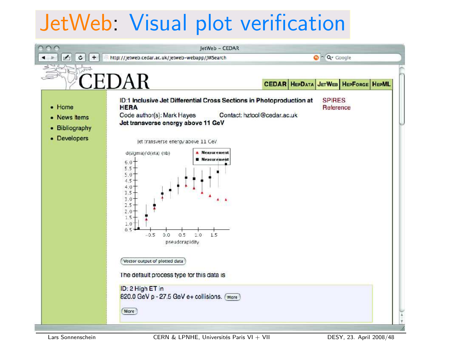### JetWeb: Visual plot verification

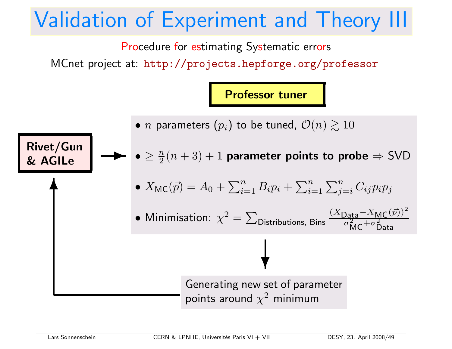### Validation of Experiment and Theory III

Procedure for estimating Systematic errors

MCnet project at: http://projects.hepforge.org/professor

Professor tuner